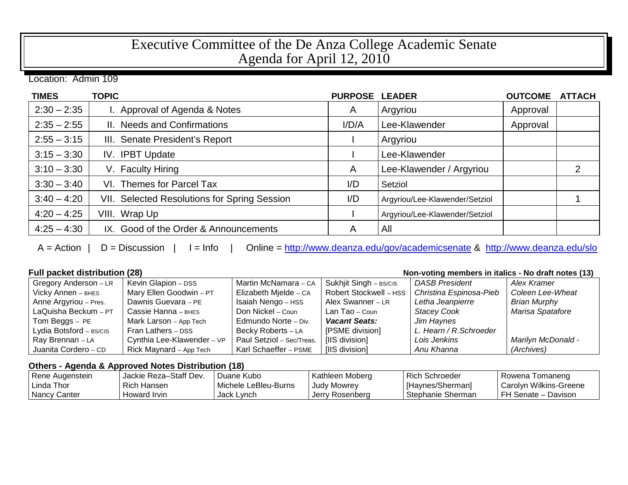# Executive Committee of the De Anza College Academic Senate Agenda for April 12, 2010

Location: Admin 109

| <b>TIMES</b>  | <b>TOPIC</b>                                 | <b>PURPOSE</b> | <b>LEADER</b>                  | <b>OUTCOME</b> | <b>ATTACH</b> |
|---------------|----------------------------------------------|----------------|--------------------------------|----------------|---------------|
| $2:30 - 2:35$ | I. Approval of Agenda & Notes                | A              | Argyriou                       | Approval       |               |
| $2:35 - 2:55$ | II. Needs and Confirmations                  | I/D/A          | Lee-Klawender                  | Approval       |               |
| $2:55 - 3:15$ | III. Senate President's Report               |                | Argyriou                       |                |               |
| $3:15 - 3:30$ | IV. IPBT Update                              |                | Lee-Klawender                  |                |               |
| $3:10 - 3:30$ | V. Faculty Hiring                            | A              | Lee-Klawender / Argyriou       |                | 2             |
| $3:30 - 3:40$ | VI. Themes for Parcel Tax                    | I/D            | Setziol                        |                |               |
| $3:40 - 4:20$ | VII. Selected Resolutions for Spring Session | I/D            | Argyriou/Lee-Klawender/Setziol |                |               |
| $4:20 - 4:25$ | VIII. Wrap Up                                |                | Argyriou/Lee-Klawender/Setziol |                |               |
| $4:25 - 4:30$ | IX. Good of the Order & Announcements        | A              | All                            |                |               |

A = Action | D = Discussion | I = Info | Online =<http://www.deanza.edu/gov/academicsenate> & <http://www.deanza.edu/slo>

### **Full packet distribution (28) Non-voting members in italics - No draft notes (13)**

| Gregory Anderson - LR   | Kevin Glapion - DSS        | Martin McNamara - CA      | Sukhjit Singh - BS/CIS | <b>DASB President</b>   | Alex Kramer         |
|-------------------------|----------------------------|---------------------------|------------------------|-------------------------|---------------------|
| Vicky Annen - внеs      | Mary Ellen Goodwin - PT    | Elizabeth Mielde - CA     | Robert Stockwell - HSS | Christina Espinosa-Pieb | Coleen Lee-Wheat    |
| Anne Argyriou - Pres.   | Dawnis Guevara - PE        | Isaiah Nengo - HSS        | Alex Swanner - LR      | Letha Jeanpierre        | <b>Brian Murphy</b> |
| LaQuisha Beckum - PT    | Cassie Hanna - внез        | Don Nickel – Coun         | Lan Tao – Coun         | <b>Stacey Cook</b>      | Marisa Spatafore    |
| Tom Beggs – PE          | Mark Larson - App Tech     | Edmundo Norte - Div.      | <b>Vacant Seats:</b>   | Jim Haynes              |                     |
| Lydia Botsford - BS/CIS | Fran Lathers - DSS         | Becky Roberts - LA        | [PSME division]        | L. Hearn / R. Schroeder |                     |
| Ray Brennan - LA        | Cynthia Lee-Klawender - VP | Paul Setziol - Sec/Treas. | [IIS division]         | Lois Jenkins            | Marilyn McDonald -  |
| Juanita Cordero - CD    | Rick Maynard - App Tech    | Karl Schaeffer - PSME     | [IIS division]         | Anu Khanna              | (Archives)          |

### **Others - Agenda & Approved Notes Distribution (18)**

| Rene Augenstein | Jackie Reza-Staff Dev. | Duane Kubo           | Kathleen Moberg    | Rich Schroeder    | Rowena Tomaneng        |
|-----------------|------------------------|----------------------|--------------------|-------------------|------------------------|
| Linda Thor      | Rich Hansen            | Michele LeBleu-Burns | <b>Judy Mowrey</b> | [Haynes/Sherman]  | Carolyn Wilkins-Greene |
| Nancy Canter    | Howard Irvin           | Jack Lynch           | Jerry Rosenberg    | Stephanie Sherman | l FH Senate – Davison  |